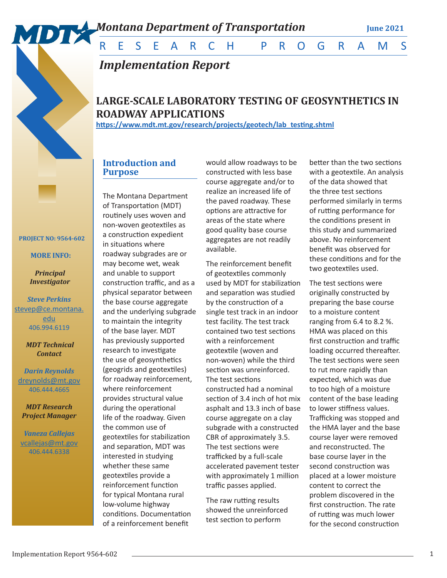

*Implementation Report*

# **LARGE-SCALE LABORATORY TESTING OF GEOSYNTHETICS IN ROADWAY APPLICATIONS**

**https://www.mdt.mt.gov/research/projects/geotech/lab\_testing.shtml**

# **Introduction and Purpose**

The Montana Department of Transportation (MDT) routinely uses woven and non-woven geotextiles as a construction expedient in situations where roadway subgrades are or may become wet, weak and unable to support construction traffic, and as a physical separator between the base course aggregate and the underlying subgrade to maintain the integrity of the base layer. MDT has previously supported research to investigate the use of geosynthetics (geogrids and geotextiles) for roadway reinforcement, where reinforcement provides structural value during the operational life of the roadway. Given the common use of geotextiles for stabilization and separation, MDT was interested in studying whether these same geotextiles provide a reinforcement function for typical Montana rural low-volume highway conditions. Documentation of a reinforcement benefit

would allow roadways to be constructed with less base course aggregate and/or to realize an increased life of the paved roadway. These options are attractive for areas of the state where good quality base course aggregates are not readily available.

The reinforcement benefit of geotextiles commonly used by MDT for stabilization and separation was studied by the construction of a single test track in an indoor test facility. The test track contained two test sections with a reinforcement geotextile (woven and non-woven) while the third section was unreinforced. The test sections constructed had a nominal section of 3.4 inch of hot mix asphalt and 13.3 inch of base course aggregate on a clay subgrade with a constructed CBR of approximately 3.5. The test sections were trafficked by a full-scale accelerated pavement tester with approximately 1 million traffic passes applied.

The raw rutting results showed the unreinforced test section to perform

better than the two sections with a geotextile. An analysis of the data showed that the three test sections performed similarly in terms of rutting performance for the conditions present in this study and summarized above. No reinforcement benefit was observed for these conditions and for the two geotextiles used.

The test sections were originally constructed by preparing the base course to a moisture content ranging from 6.4 to 8.2 %. HMA was placed on this first construction and traffic loading occurred thereafter. The test sections were seen to rut more rapidly than expected, which was due to too high of a moisture content of the base leading to lower stiffness values. Trafficking was stopped and the HMA layer and the base course layer were removed and reconstructed. The base course layer in the second construction was placed at a lower moisture content to correct the problem discovered in the first construction. The rate of rutting was much lower for the second construction

 **PROJECT NO: 9564-602** 

 **MORE INFO:**

*Principal Investigator* 

*Steve Perkins* stevep@ce.montana. edu 406.994.6119

> *MDT Technical Contact*

*Darin Reynolds* [dreynolds@mt.gov](mailto:lsickerson%40mt.gov?subject=Testing%20%27Wildlife-Friendly%27%20Fence%20Modifications%20to%20Manage%20Wildlife%20and%20Livestock%20Movements) 406.444.4665

*MDT Research Project Manager*

*Vaneza Callejas* [vcallejas@mt.gov](mailto:vcallejas%40mt.gov?subject=Testing%20%27Wildlife-Friendly%27%20Fence%20Modifications%20to%20Manage%20Wildlife%20and%20Livestock%20Movements) 406.444.6338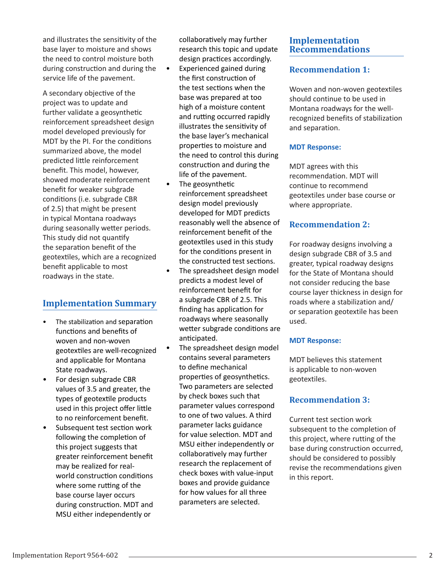and illustrates the sensitivity of the base layer to moisture and shows the need to control moisture both during construction and during the service life of the pavement.

A secondary objective of the project was to update and further validate a geosynthetic reinforcement spreadsheet design model developed previously for MDT by the PI. For the conditions summarized above, the model predicted little reinforcement benefit. This model, however, showed moderate reinforcement benefit for weaker subgrade conditions (i.e. subgrade CBR of 2.5) that might be present in typical Montana roadways during seasonally wetter periods. This study did not quantify the separation benefit of the geotextiles, which are a recognized benefit applicable to most roadways in the state.

# **Implementation Summary**

- The stabilization and separation functions and benefits of woven and non-woven geotextiles are well-recognized and applicable for Montana State roadways.
- For design subgrade CBR values of 3.5 and greater, the types of geotextile products used in this project offer little to no reinforcement benefit.
- Subsequent test section work following the completion of this project suggests that greater reinforcement benefit may be realized for realworld construction conditions where some rutting of the base course layer occurs during construction. MDT and MSU either independently or

collaboratively may further research this topic and update design practices accordingly.

- Experienced gained during the first construction of the test sections when the base was prepared at too high of a moisture content and rutting occurred rapidly illustrates the sensitivity of the base layer's mechanical properties to moisture and the need to control this during construction and during the life of the pavement.
- The geosynthetic reinforcement spreadsheet design model previously developed for MDT predicts reasonably well the absence of reinforcement benefit of the geotextiles used in this study for the conditions present in the constructed test sections.
- The spreadsheet design model predicts a modest level of reinforcement benefit for a subgrade CBR of 2.5. This finding has application for roadways where seasonally wetter subgrade conditions are anticipated.
	- The spreadsheet design model contains several parameters to define mechanical properties of geosynthetics. Two parameters are selected by check boxes such that parameter values correspond to one of two values. A third parameter lacks guidance for value selection. MDT and MSU either independently or collaboratively may further research the replacement of check boxes with value-input boxes and provide guidance for how values for all three parameters are selected.

# **Implementation Recommendations**

# **Recommendation 1:**

Woven and non-woven geotextiles should continue to be used in Montana roadways for the wellrecognized benefits of stabilization and separation.

### **MDT Response:**

MDT agrees with this recommendation. MDT will continue to recommend geotextiles under base course or where appropriate.

# **Recommendation 2:**

For roadway designs involving a design subgrade CBR of 3.5 and greater, typical roadway designs for the State of Montana should not consider reducing the base course layer thickness in design for roads where a stabilization and/ or separation geotextile has been used.

## **MDT Response:**

MDT believes this statement is applicable to non-woven geotextiles.

# **Recommendation 3:**

Current test section work subsequent to the completion of this project, where rutting of the base during construction occurred, should be considered to possibly revise the recommendations given in this report.